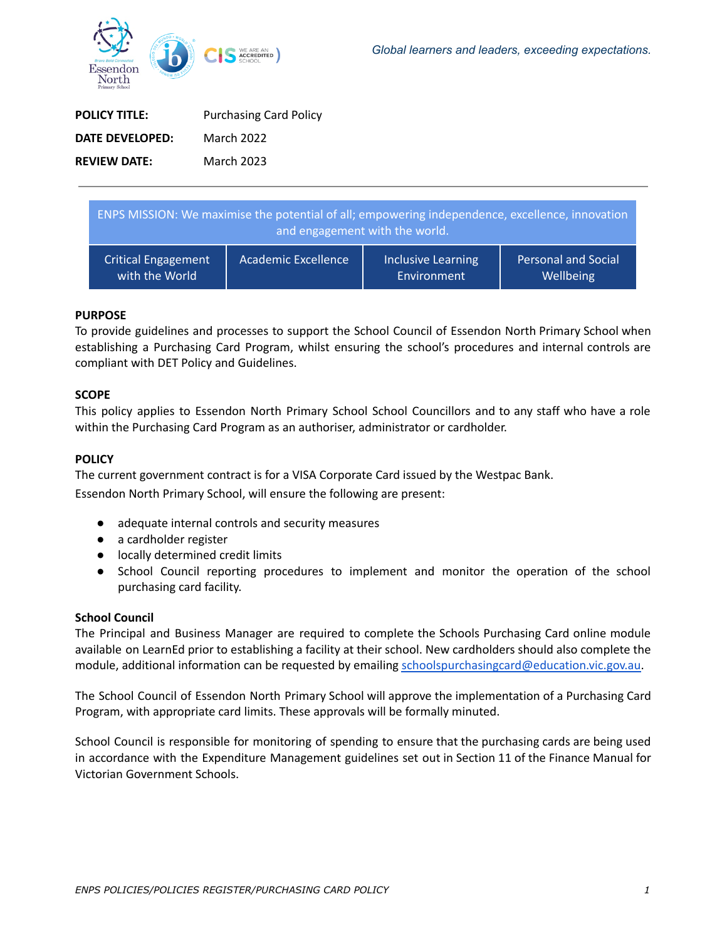

| <b>POLICY TITLE:</b> | <b>Purchasing Card Policy</b> |
|----------------------|-------------------------------|
| DATE DEVELOPED:      | March 2022                    |
| <b>REVIEW DATE:</b>  | March 2023                    |

| ENPS MISSION: We maximise the potential of all; empowering independence, excellence, innovation<br>and engagement with the world. |                            |                    |                     |
|-----------------------------------------------------------------------------------------------------------------------------------|----------------------------|--------------------|---------------------|
| <b>Critical Engagement</b>                                                                                                        | <b>Academic Excellence</b> | Inclusive Learning | Personal and Social |
| with the World                                                                                                                    |                            | Environment        | Wellbeing           |

# **PURPOSE**

To provide guidelines and processes to support the School Council of Essendon North Primary School when establishing a Purchasing Card Program, whilst ensuring the school's procedures and internal controls are compliant with DET Policy and Guidelines.

## **SCOPE**

This policy applies to Essendon North Primary School School Councillors and to any staff who have a role within the Purchasing Card Program as an authoriser, administrator or cardholder.

# **POLICY**

The current government contract is for a VISA Corporate Card issued by the Westpac Bank.

Essendon North Primary School, will ensure the following are present:

- adequate internal controls and security measures
- a cardholder register
- locally determined credit limits
- School Council reporting procedures to implement and monitor the operation of the school purchasing card facility.

## **School Council**

The Principal and Business Manager are required to complete the Schools Purchasing Card online module available on LearnEd prior to establishing a facility at their school. New cardholders should also complete the module, additional information can be requested by emailing [schoolspurchasingcard@education.vic.gov.au.](mailto:schoolspurchasingcard@education.vic.gov.au)

The School Council of Essendon North Primary School will approve the implementation of a Purchasing Card Program, with appropriate card limits. These approvals will be formally minuted.

School Council is responsible for monitoring of spending to ensure that the purchasing cards are being used in accordance with the Expenditure Management guidelines set out in Section 11 of the Finance Manual for Victorian Government Schools.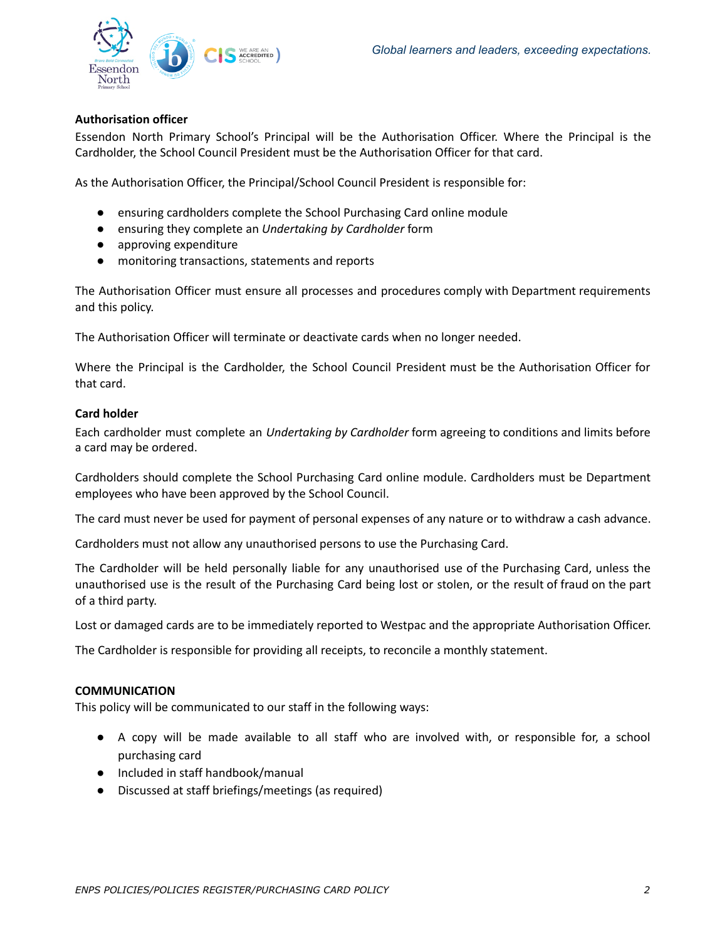

## **Authorisation officer**

Essendon North Primary School's Principal will be the Authorisation Officer. Where the Principal is the Cardholder, the School Council President must be the Authorisation Officer for that card.

As the Authorisation Officer, the Principal/School Council President is responsible for:

- ensuring cardholders complete the School Purchasing Card online module
- ensuring they complete an *Undertaking by Cardholder* form
- approving expenditure
- monitoring transactions, statements and reports

The Authorisation Officer must ensure all processes and procedures comply with Department requirements and this policy.

The Authorisation Officer will terminate or deactivate cards when no longer needed.

Where the Principal is the Cardholder, the School Council President must be the Authorisation Officer for that card.

## **Card holder**

Each cardholder must complete an *Undertaking by Cardholder* form agreeing to conditions and limits before a card may be ordered.

Cardholders should complete the School Purchasing Card online module. Cardholders must be Department employees who have been approved by the School Council.

The card must never be used for payment of personal expenses of any nature or to withdraw a cash advance.

Cardholders must not allow any unauthorised persons to use the Purchasing Card.

The Cardholder will be held personally liable for any unauthorised use of the Purchasing Card, unless the unauthorised use is the result of the Purchasing Card being lost or stolen, or the result of fraud on the part of a third party.

Lost or damaged cards are to be immediately reported to Westpac and the appropriate Authorisation Officer.

The Cardholder is responsible for providing all receipts, to reconcile a monthly statement.

## **COMMUNICATION**

This policy will be communicated to our staff in the following ways:

- A copy will be made available to all staff who are involved with, or responsible for, a school purchasing card
- Included in staff handbook/manual
- Discussed at staff briefings/meetings (as required)